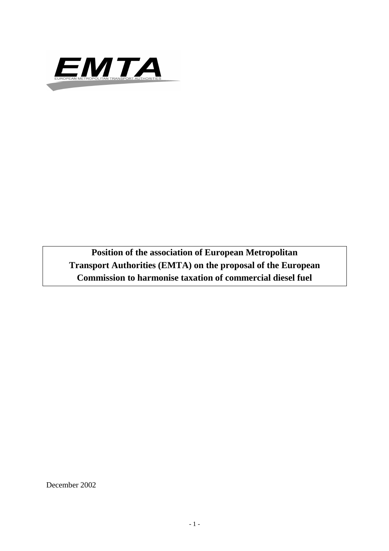

**Position of the association of European Metropolitan Transport Authorities (EMTA) on the proposal of the European Commission to harmonise taxation of commercial diesel fuel**

December 2002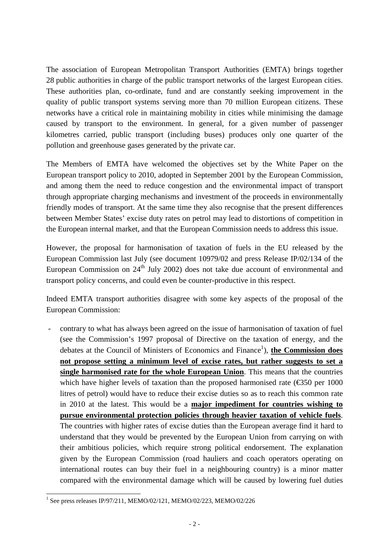The association of European Metropolitan Transport Authorities (EMTA) brings together 28 public authorities in charge of the public transport networks of the largest European cities. These authorities plan, co-ordinate, fund and are constantly seeking improvement in the quality of public transport systems serving more than 70 million European citizens. These networks have a critical role in maintaining mobility in cities while minimising the damage caused by transport to the environment. In general, for a given number of passenger kilometres carried, public transport (including buses) produces only one quarter of the pollution and greenhouse gases generated by the private car.

The Members of EMTA have welcomed the objectives set by the White Paper on the European transport policy to 2010, adopted in September 2001 by the European Commission, and among them the need to reduce congestion and the environmental impact of transport through appropriate charging mechanisms and investment of the proceeds in environmentally friendly modes of transport. At the same time they also recognise that the present differences between Member States' excise duty rates on petrol may lead to distortions of competition in the European internal market, and that the European Commission needs to address this issue.

However, the proposal for harmonisation of taxation of fuels in the EU released by the European Commission last July (see document 10979/02 and press Release IP/02/134 of the European Commission on  $24<sup>th</sup>$  July 2002) does not take due account of environmental and transport policy concerns, and could even be counter-productive in this respect.

Indeed EMTA transport authorities disagree with some key aspects of the proposal of the European Commission:

- contrary to what has always been agreed on the issue of harmonisation of taxation of fuel (see the Commission's 1997 proposal of Directive on the taxation of energy, and the debates at the Council of Ministers of Economics and Finance<sup>1</sup>), **the Commission does not propose setting a minimum level of excise rates, but rather suggests to set a single harmonised rate for the whole European Union**. This means that the countries which have higher levels of taxation than the proposed harmonised rate  $(\text{\textcircled{}}50 \text{ per } 1000$ litres of petrol) would have to reduce their excise duties so as to reach this common rate in 2010 at the latest. This would be a **major impediment for countries wishing to pursue environmental protection policies through heavier taxation of vehicle fuels**. The countries with higher rates of excise duties than the European average find it hard to understand that they would be prevented by the European Union from carrying on with their ambitious policies, which require strong political endorsement. The explanation given by the European Commission (road hauliers and coach operators operating on international routes can buy their fuel in a neighbouring country) is a minor matter compared with the environmental damage which will be caused by lowering fuel duties

<sup>&</sup>lt;sup>1</sup> See press releases IP/97/211, MEMO/02/121, MEMO/02/223, MEMO/02/226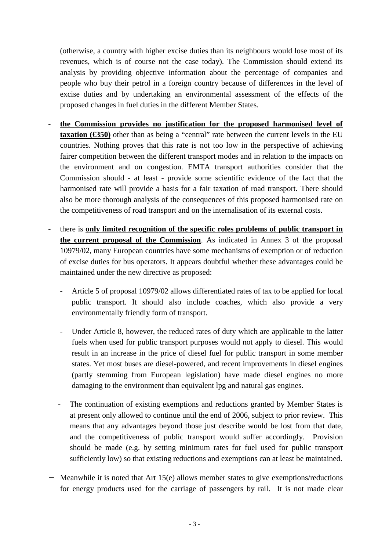(otherwise, a country with higher excise duties than its neighbours would lose most of its revenues, which is of course not the case today). The Commission should extend its analysis by providing objective information about the percentage of companies and people who buy their petrol in a foreign country because of differences in the level of excise duties and by undertaking an environmental assessment of the effects of the proposed changes in fuel duties in the different Member States.

- **the Commission provides no justification for the proposed harmonised level of taxation (** $\bigcirc$ **350)** other than as being a "central" rate between the current levels in the EU countries. Nothing proves that this rate is not too low in the perspective of achieving fairer competition between the different transport modes and in relation to the impacts on the environment and on congestion. EMTA transport authorities consider that the Commission should - at least - provide some scientific evidence of the fact that the harmonised rate will provide a basis for a fair taxation of road transport. There should also be more thorough analysis of the consequences of this proposed harmonised rate on the competitiveness of road transport and on the internalisation of its external costs.
- there is **only limited recognition of the specific roles problems of public transport in the current proposal of the Commission**. As indicated in Annex 3 of the proposal 10979/02, many European countries have some mechanisms of exemption or of reduction of excise duties for bus operators. It appears doubtful whether these advantages could be maintained under the new directive as proposed:
	- Article 5 of proposal 10979/02 allows differentiated rates of tax to be applied for local public transport. It should also include coaches, which also provide a very environmentally friendly form of transport.
	- Under Article 8, however, the reduced rates of duty which are applicable to the latter fuels when used for public transport purposes would not apply to diesel. This would result in an increase in the price of diesel fuel for public transport in some member states. Yet most buses are diesel-powered, and recent improvements in diesel engines (partly stemming from European legislation) have made diesel engines no more damaging to the environment than equivalent lpg and natural gas engines.
	- The continuation of existing exemptions and reductions granted by Member States is at present only allowed to continue until the end of 2006, subject to prior review. This means that any advantages beyond those just describe would be lost from that date, and the competitiveness of public transport would suffer accordingly. Provision should be made (e.g. by setting minimum rates for fuel used for public transport sufficiently low) so that existing reductions and exemptions can at least be maintained.
- − Meanwhile it is noted that Art 15(e) allows member states to give exemptions/reductions for energy products used for the carriage of passengers by rail. It is not made clear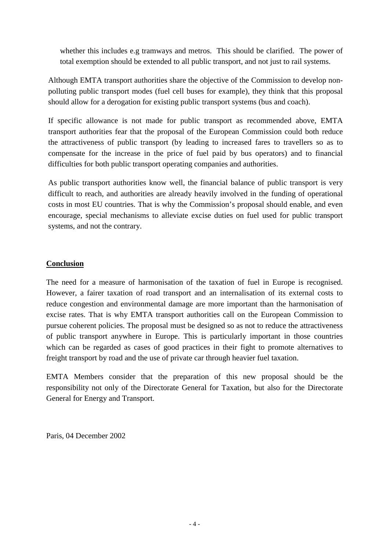whether this includes e.g tramways and metros. This should be clarified. The power of total exemption should be extended to all public transport, and not just to rail systems.

Although EMTA transport authorities share the objective of the Commission to develop nonpolluting public transport modes (fuel cell buses for example), they think that this proposal should allow for a derogation for existing public transport systems (bus and coach).

If specific allowance is not made for public transport as recommended above, EMTA transport authorities fear that the proposal of the European Commission could both reduce the attractiveness of public transport (by leading to increased fares to travellers so as to compensate for the increase in the price of fuel paid by bus operators) and to financial difficulties for both public transport operating companies and authorities.

As public transport authorities know well, the financial balance of public transport is very difficult to reach, and authorities are already heavily involved in the funding of operational costs in most EU countries. That is why the Commission's proposal should enable, and even encourage, special mechanisms to alleviate excise duties on fuel used for public transport systems, and not the contrary.

## **Conclusion**

The need for a measure of harmonisation of the taxation of fuel in Europe is recognised. However, a fairer taxation of road transport and an internalisation of its external costs to reduce congestion and environmental damage are more important than the harmonisation of excise rates. That is why EMTA transport authorities call on the European Commission to pursue coherent policies. The proposal must be designed so as not to reduce the attractiveness of public transport anywhere in Europe. This is particularly important in those countries which can be regarded as cases of good practices in their fight to promote alternatives to freight transport by road and the use of private car through heavier fuel taxation.

EMTA Members consider that the preparation of this new proposal should be the responsibility not only of the Directorate General for Taxation, but also for the Directorate General for Energy and Transport.

Paris, 04 December 2002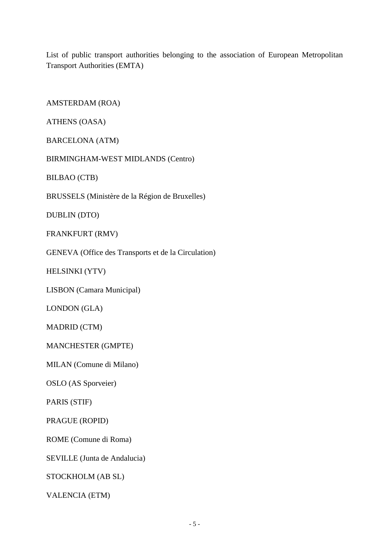List of public transport authorities belonging to the association of European Metropolitan Transport Authorities (EMTA)

AMSTERDAM (ROA)

ATHENS (OASA)

BARCELONA (ATM)

BIRMINGHAM-WEST MIDLANDS (Centro)

BILBAO (CTB)

BRUSSELS (Ministère de la Région de Bruxelles)

DUBLIN (DTO)

FRANKFURT (RMV)

GENEVA (Office des Transports et de la Circulation)

HELSINKI (YTV)

LISBON (Camara Municipal)

LONDON (GLA)

MADRID (CTM)

MANCHESTER (GMPTE)

MILAN (Comune di Milano)

OSLO (AS Sporveier)

PARIS (STIF)

PRAGUE (ROPID)

ROME (Comune di Roma)

SEVILLE (Junta de Andalucia)

STOCKHOLM (AB SL)

VALENCIA (ETM)